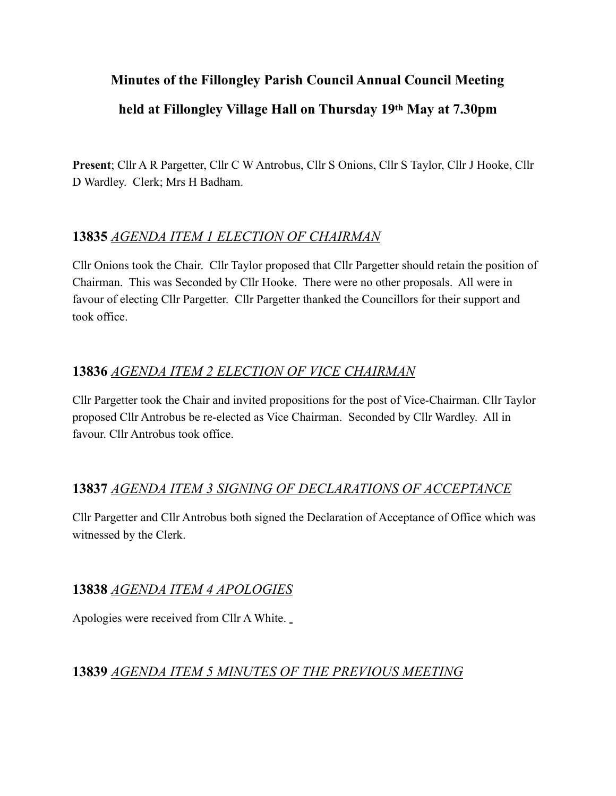# **Minutes of the Fillongley Parish Council Annual Council Meeting held at Fillongley Village Hall on Thursday 19th May at 7.30pm**

**Present**; Cllr A R Pargetter, Cllr C W Antrobus, Cllr S Onions, Cllr S Taylor, Cllr J Hooke, Cllr D Wardley. Clerk; Mrs H Badham.

## **13835** *AGENDA ITEM 1 ELECTION OF CHAIRMAN*

Cllr Onions took the Chair. Cllr Taylor proposed that Cllr Pargetter should retain the position of Chairman. This was Seconded by Cllr Hooke. There were no other proposals. All were in favour of electing Cllr Pargetter. Cllr Pargetter thanked the Councillors for their support and took office.

# **13836** *AGENDA ITEM 2 ELECTION OF VICE CHAIRMAN*

Cllr Pargetter took the Chair and invited propositions for the post of Vice-Chairman. Cllr Taylor proposed Cllr Antrobus be re-elected as Vice Chairman. Seconded by Cllr Wardley. All in favour. Cllr Antrobus took office.

### **13837** *AGENDA ITEM 3 SIGNING OF DECLARATIONS OF ACCEPTANCE*

Cllr Pargetter and Cllr Antrobus both signed the Declaration of Acceptance of Office which was witnessed by the Clerk.

# **13838** *AGENDA ITEM 4 APOLOGIES*

Apologies were received from Cllr A White.

### **13839** *AGENDA ITEM 5 MINUTES OF THE PREVIOUS MEETING*